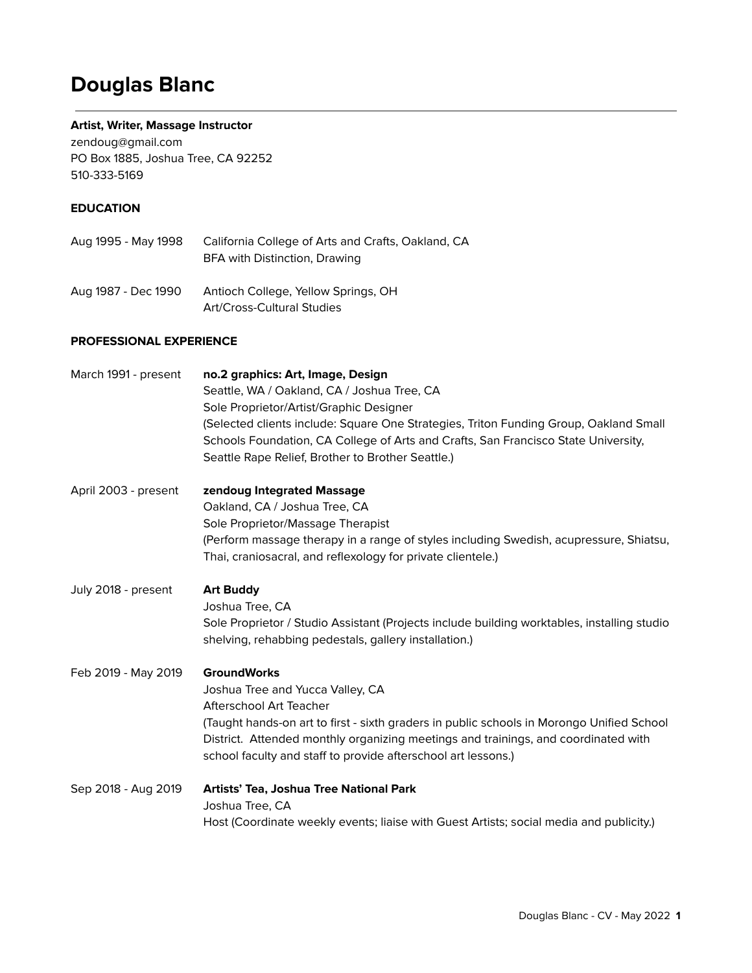# **Douglas Blanc**

#### **Artist, Writer, Massage Instructor**

[zendoug@gmail.com](mailto:zendoug@gmail.com) PO Box 1885, Joshua Tree, CA 92252 510-333-5169

#### **EDUCATION**

| Aug 1995 - May 1998 | California College of Arts and Crafts, Oakland, CA<br>BFA with Distinction, Drawing |
|---------------------|-------------------------------------------------------------------------------------|
| Aug 1987 - Dec 1990 | Antioch College, Yellow Springs, OH                                                 |

Art/Cross-Cultural Studies

#### **PROFESSIONAL EXPERIENCE**

| March 1991 - present | no.2 graphics: Art, Image, Design<br>Seattle, WA / Oakland, CA / Joshua Tree, CA<br>Sole Proprietor/Artist/Graphic Designer<br>(Selected clients include: Square One Strategies, Triton Funding Group, Oakland Small<br>Schools Foundation, CA College of Arts and Crafts, San Francisco State University,<br>Seattle Rape Relief, Brother to Brother Seattle.) |
|----------------------|-----------------------------------------------------------------------------------------------------------------------------------------------------------------------------------------------------------------------------------------------------------------------------------------------------------------------------------------------------------------|
| April 2003 - present | zendoug Integrated Massage<br>Oakland, CA / Joshua Tree, CA<br>Sole Proprietor/Massage Therapist<br>(Perform massage therapy in a range of styles including Swedish, acupressure, Shiatsu,<br>Thai, craniosacral, and reflexology for private clientele.)                                                                                                       |
| July 2018 - present  | <b>Art Buddy</b><br>Joshua Tree, CA<br>Sole Proprietor / Studio Assistant (Projects include building worktables, installing studio<br>shelving, rehabbing pedestals, gallery installation.)                                                                                                                                                                     |
| Feb 2019 - May 2019  | <b>GroundWorks</b><br>Joshua Tree and Yucca Valley, CA<br>Afterschool Art Teacher<br>(Taught hands-on art to first - sixth graders in public schools in Morongo Unified School<br>District. Attended monthly organizing meetings and trainings, and coordinated with<br>school faculty and staff to provide afterschool art lessons.)                           |
| Sep 2018 - Aug 2019  | Artists' Tea, Joshua Tree National Park<br>Joshua Tree, CA<br>Host (Coordinate weekly events; liaise with Guest Artists; social media and publicity.)                                                                                                                                                                                                           |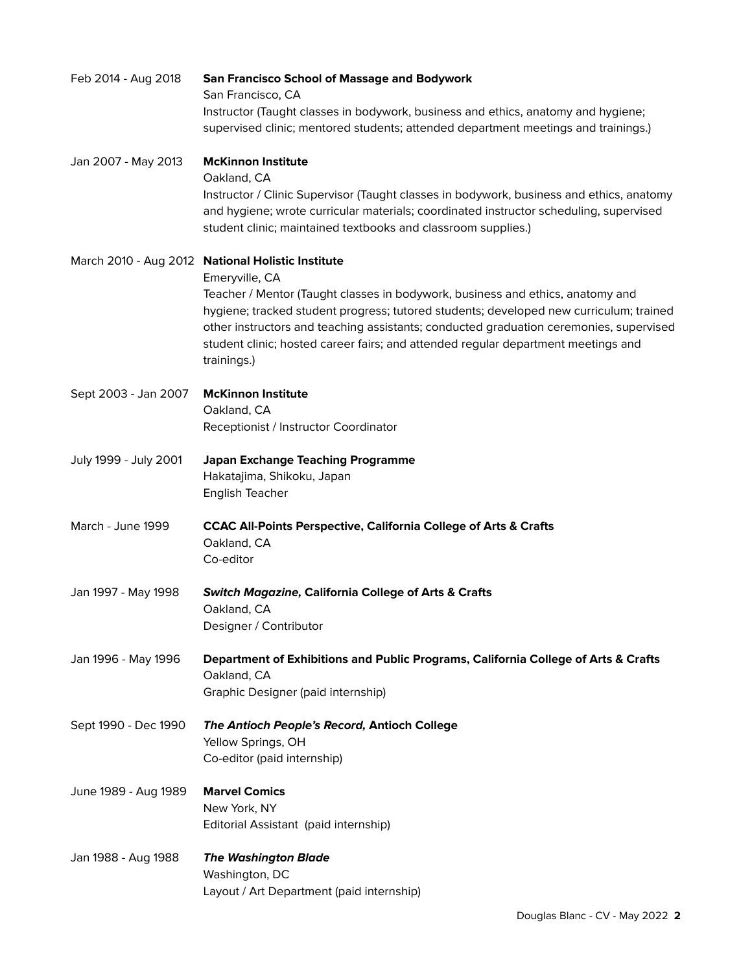| Feb 2014 - Aug 2018   | <b>San Francisco School of Massage and Bodywork</b><br>San Francisco, CA<br>Instructor (Taught classes in bodywork, business and ethics, anatomy and hygiene;<br>supervised clinic; mentored students; attended department meetings and trainings.)                                                                                                                                                                                           |
|-----------------------|-----------------------------------------------------------------------------------------------------------------------------------------------------------------------------------------------------------------------------------------------------------------------------------------------------------------------------------------------------------------------------------------------------------------------------------------------|
| Jan 2007 - May 2013   | <b>McKinnon Institute</b><br>Oakland, CA<br>Instructor / Clinic Supervisor (Taught classes in bodywork, business and ethics, anatomy<br>and hygiene; wrote curricular materials; coordinated instructor scheduling, supervised<br>student clinic; maintained textbooks and classroom supplies.)                                                                                                                                               |
|                       | March 2010 - Aug 2012 National Holistic Institute<br>Emeryville, CA<br>Teacher / Mentor (Taught classes in bodywork, business and ethics, anatomy and<br>hygiene; tracked student progress; tutored students; developed new curriculum; trained<br>other instructors and teaching assistants; conducted graduation ceremonies, supervised<br>student clinic; hosted career fairs; and attended regular department meetings and<br>trainings.) |
| Sept 2003 - Jan 2007  | <b>McKinnon Institute</b><br>Oakland, CA<br>Receptionist / Instructor Coordinator                                                                                                                                                                                                                                                                                                                                                             |
| July 1999 - July 2001 | <b>Japan Exchange Teaching Programme</b><br>Hakatajima, Shikoku, Japan<br>English Teacher                                                                                                                                                                                                                                                                                                                                                     |
| March - June 1999     | <b>CCAC All-Points Perspective, California College of Arts &amp; Crafts</b><br>Oakland, CA<br>Co-editor                                                                                                                                                                                                                                                                                                                                       |
| Jan 1997 - May 1998   | <b>Switch Magazine, California College of Arts &amp; Crafts</b><br>Oakland, CA<br>Designer / Contributor                                                                                                                                                                                                                                                                                                                                      |
| Jan 1996 - May 1996   | Department of Exhibitions and Public Programs, California College of Arts & Crafts<br>Oakland, CA<br>Graphic Designer (paid internship)                                                                                                                                                                                                                                                                                                       |
| Sept 1990 - Dec 1990  | The Antioch People's Record, Antioch College<br>Yellow Springs, OH<br>Co-editor (paid internship)                                                                                                                                                                                                                                                                                                                                             |
| June 1989 - Aug 1989  | <b>Marvel Comics</b><br>New York, NY<br>Editorial Assistant (paid internship)                                                                                                                                                                                                                                                                                                                                                                 |
| Jan 1988 - Aug 1988   | <b>The Washington Blade</b><br>Washington, DC<br>Layout / Art Department (paid internship)                                                                                                                                                                                                                                                                                                                                                    |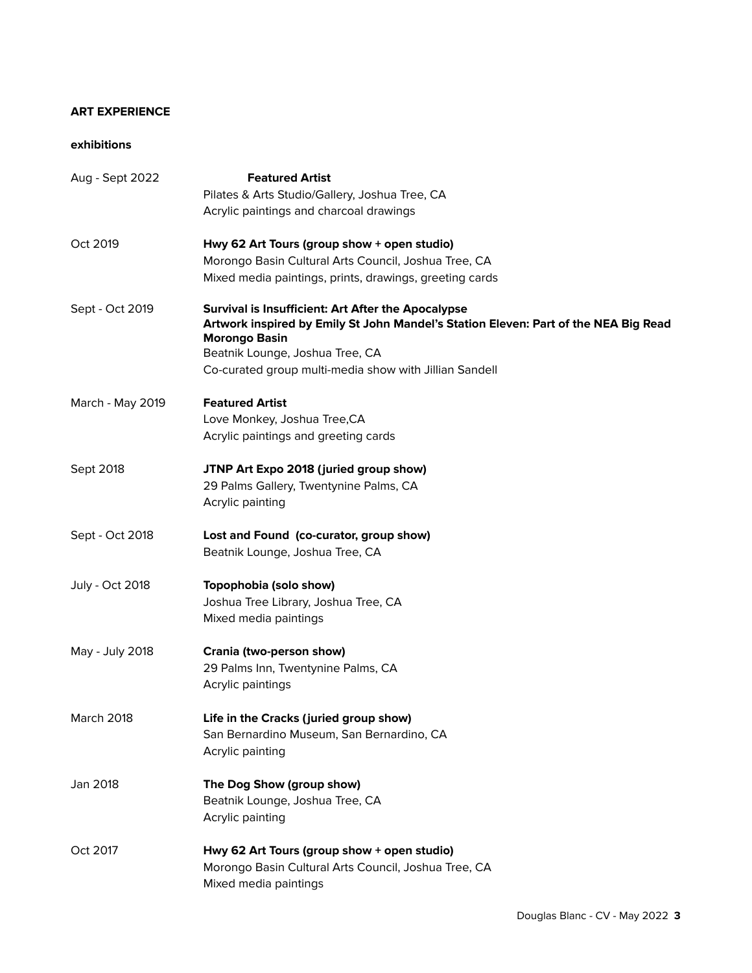#### **ART EXPERIENCE**

### **exhibitions**

| Aug - Sept 2022        | <b>Featured Artist</b><br>Pilates & Arts Studio/Gallery, Joshua Tree, CA<br>Acrylic paintings and charcoal drawings                                                                                                                                            |
|------------------------|----------------------------------------------------------------------------------------------------------------------------------------------------------------------------------------------------------------------------------------------------------------|
| Oct 2019               | Hwy 62 Art Tours (group show + open studio)<br>Morongo Basin Cultural Arts Council, Joshua Tree, CA<br>Mixed media paintings, prints, drawings, greeting cards                                                                                                 |
| Sept - Oct 2019        | Survival is Insufficient: Art After the Apocalypse<br>Artwork inspired by Emily St John Mandel's Station Eleven: Part of the NEA Big Read<br><b>Morongo Basin</b><br>Beatnik Lounge, Joshua Tree, CA<br>Co-curated group multi-media show with Jillian Sandell |
| March - May 2019       | <b>Featured Artist</b><br>Love Monkey, Joshua Tree, CA<br>Acrylic paintings and greeting cards                                                                                                                                                                 |
| Sept 2018              | JTNP Art Expo 2018 (juried group show)<br>29 Palms Gallery, Twentynine Palms, CA<br>Acrylic painting                                                                                                                                                           |
| Sept - Oct 2018        | Lost and Found (co-curator, group show)<br>Beatnik Lounge, Joshua Tree, CA                                                                                                                                                                                     |
| <b>July - Oct 2018</b> | Topophobia (solo show)<br>Joshua Tree Library, Joshua Tree, CA<br>Mixed media paintings                                                                                                                                                                        |
| May - July 2018        | Crania (two-person show)<br>29 Palms Inn, Twentynine Palms, CA<br>Acrylic paintings                                                                                                                                                                            |
| March 2018             | Life in the Cracks (juried group show)<br>San Bernardino Museum, San Bernardino, CA<br>Acrylic painting                                                                                                                                                        |
| Jan 2018               | The Dog Show (group show)<br>Beatnik Lounge, Joshua Tree, CA<br>Acrylic painting                                                                                                                                                                               |
| Oct 2017               | Hwy 62 Art Tours (group show + open studio)<br>Morongo Basin Cultural Arts Council, Joshua Tree, CA<br>Mixed media paintings                                                                                                                                   |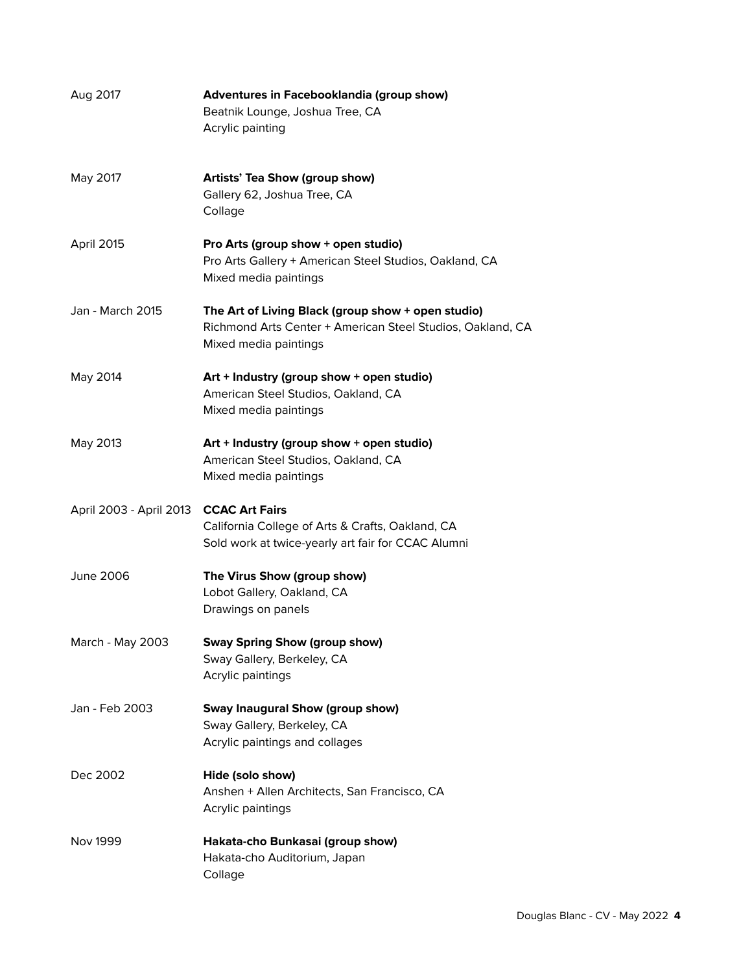| Aug 2017                | Adventures in Facebooklandia (group show)<br>Beatnik Lounge, Joshua Tree, CA<br>Acrylic painting                                          |
|-------------------------|-------------------------------------------------------------------------------------------------------------------------------------------|
| May 2017                | Artists' Tea Show (group show)<br>Gallery 62, Joshua Tree, CA<br>Collage                                                                  |
| April 2015              | Pro Arts (group show + open studio)<br>Pro Arts Gallery + American Steel Studios, Oakland, CA<br>Mixed media paintings                    |
| <b>Jan - March 2015</b> | The Art of Living Black (group show + open studio)<br>Richmond Arts Center + American Steel Studios, Oakland, CA<br>Mixed media paintings |
| May 2014                | Art + Industry (group show + open studio)<br>American Steel Studios, Oakland, CA<br>Mixed media paintings                                 |
| May 2013                | Art + Industry (group show + open studio)<br>American Steel Studios, Oakland, CA<br>Mixed media paintings                                 |
| April 2003 - April 2013 | <b>CCAC Art Fairs</b><br>California College of Arts & Crafts, Oakland, CA<br>Sold work at twice-yearly art fair for CCAC Alumni           |
| June 2006               | The Virus Show (group show)<br>Lobot Gallery, Oakland, CA<br>Drawings on panels                                                           |
| March - May 2003        | Sway Spring Show (group show)<br>Sway Gallery, Berkeley, CA<br>Acrylic paintings                                                          |
| Jan - Feb 2003          | <b>Sway Inaugural Show (group show)</b><br>Sway Gallery, Berkeley, CA<br>Acrylic paintings and collages                                   |
| Dec 2002                | Hide (solo show)<br>Anshen + Allen Architects, San Francisco, CA<br>Acrylic paintings                                                     |
| Nov 1999                | Hakata-cho Bunkasai (group show)<br>Hakata-cho Auditorium, Japan<br>Collage                                                               |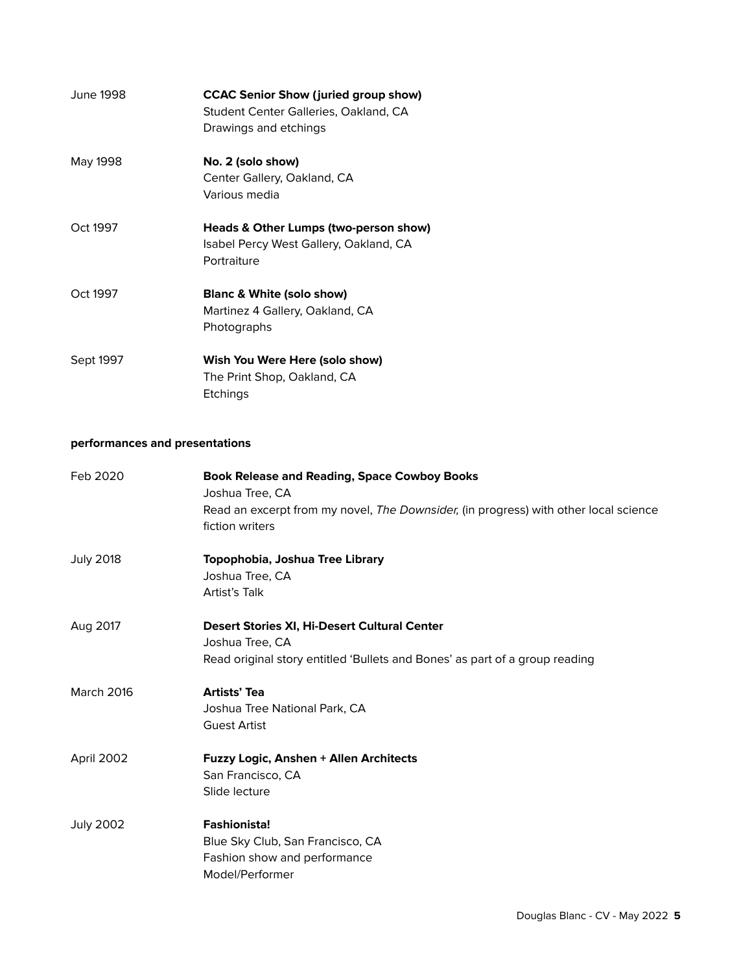| June 1998. | <b>CCAC Senior Show (juried group show)</b><br>Student Center Galleries, Oakland, CA<br>Drawings and etchings |
|------------|---------------------------------------------------------------------------------------------------------------|
| May 1998   | No. 2 (solo show)<br>Center Gallery, Oakland, CA<br>Various media                                             |
| Oct 1997   | Heads & Other Lumps (two-person show)<br>Isabel Percy West Gallery, Oakland, CA<br>Portraiture                |
| Oct 1997   | <b>Blanc &amp; White (solo show)</b><br>Martinez 4 Gallery, Oakland, CA<br>Photographs                        |
| Sept 1997  | Wish You Were Here (solo show)<br>The Print Shop, Oakland, CA<br>Etchings                                     |

## **performances and presentations**

| Feb 2020         | <b>Book Release and Reading, Space Cowboy Books</b><br>Joshua Tree, CA<br>Read an excerpt from my novel, The Downsider, (in progress) with other local science<br>fiction writers |
|------------------|-----------------------------------------------------------------------------------------------------------------------------------------------------------------------------------|
| <b>July 2018</b> | Topophobia, Joshua Tree Library<br>Joshua Tree, CA<br>Artist's Talk                                                                                                               |
| Aug 2017         | Desert Stories XI, Hi-Desert Cultural Center<br>Joshua Tree, CA<br>Read original story entitled 'Bullets and Bones' as part of a group reading                                    |
| March 2016       | <b>Artists' Tea</b><br>Joshua Tree National Park, CA<br><b>Guest Artist</b>                                                                                                       |
| April 2002       | Fuzzy Logic, Anshen + Allen Architects<br>San Francisco, CA<br>Slide lecture                                                                                                      |
| <b>July 2002</b> | <b>Fashionista!</b><br>Blue Sky Club, San Francisco, CA<br>Fashion show and performance<br>Model/Performer                                                                        |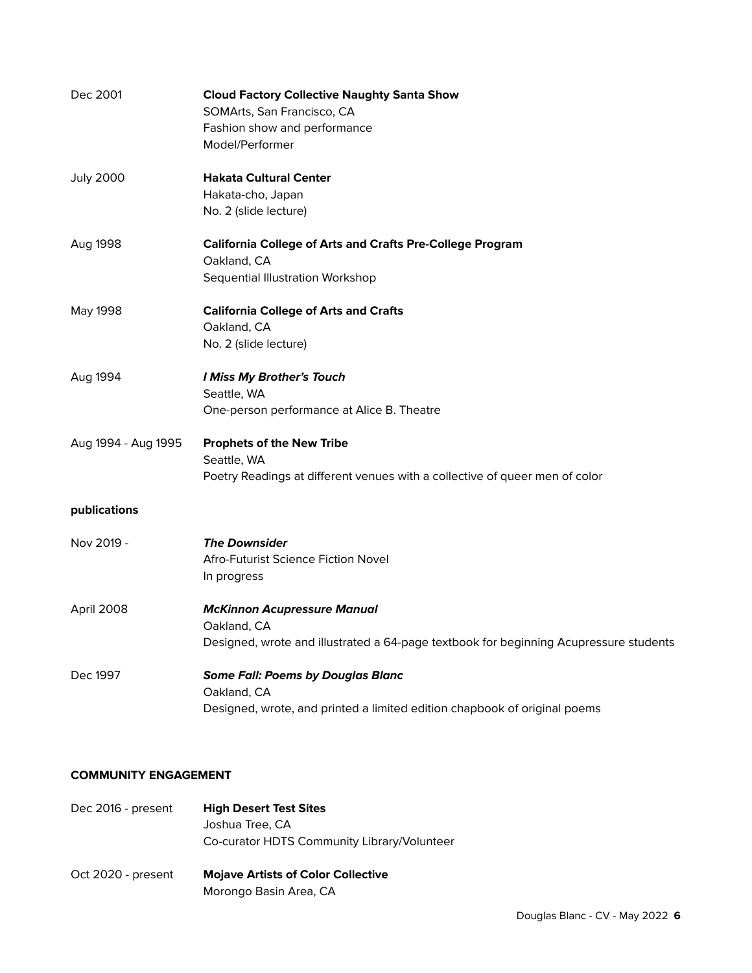| Dec 2001            | <b>Cloud Factory Collective Naughty Santa Show</b><br>SOMArts, San Francisco, CA<br>Fashion show and performance<br>Model/Performer        |
|---------------------|--------------------------------------------------------------------------------------------------------------------------------------------|
| <b>July 2000</b>    | <b>Hakata Cultural Center</b><br>Hakata-cho, Japan<br>No. 2 (slide lecture)                                                                |
| Aug 1998            | <b>California College of Arts and Crafts Pre-College Program</b><br>Oakland, CA<br>Sequential Illustration Workshop                        |
| May 1998            | <b>California College of Arts and Crafts</b><br>Oakland, CA<br>No. 2 (slide lecture)                                                       |
| Aug 1994            | I Miss My Brother's Touch<br>Seattle, WA<br>One-person performance at Alice B. Theatre                                                     |
| Aug 1994 - Aug 1995 | <b>Prophets of the New Tribe</b><br>Seattle, WA<br>Poetry Readings at different venues with a collective of queer men of color             |
| publications        |                                                                                                                                            |
| Nov 2019 -          | <b>The Downsider</b><br>Afro-Futurist Science Fiction Novel<br>In progress                                                                 |
| April 2008          | <b>McKinnon Acupressure Manual</b><br>Oakland, CA<br>Designed, wrote and illustrated a 64-page textbook for beginning Acupressure students |
| Dec 1997            | <b>Some Fall: Poems by Douglas Blanc</b><br>Oakland, CA<br>Designed, wrote, and printed a limited edition chapbook of original poems       |

## **COMMUNITY ENGAGEMENT**

| Dec 2016 - present | <b>High Desert Test Sites</b><br>Joshua Tree, CA                                                                   |
|--------------------|--------------------------------------------------------------------------------------------------------------------|
| Oct 2020 - present | Co-curator HDTS Community Library/Volunteer<br><b>Mojave Artists of Color Collective</b><br>Morongo Basin Area, CA |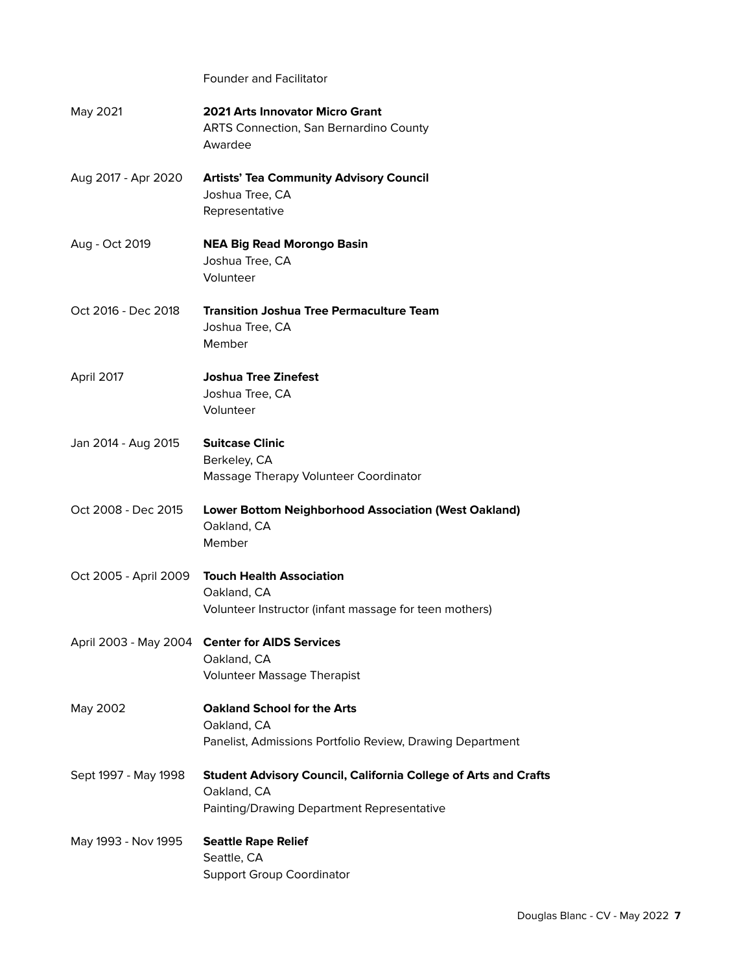Founder and Facilitator

| May 2021              | <b>2021 Arts Innovator Micro Grant</b><br><b>ARTS Connection, San Bernardino County</b><br>Awardee                                  |
|-----------------------|-------------------------------------------------------------------------------------------------------------------------------------|
| Aug 2017 - Apr 2020   | <b>Artists' Tea Community Advisory Council</b><br>Joshua Tree, CA<br>Representative                                                 |
| Aug - Oct 2019        | <b>NEA Big Read Morongo Basin</b><br>Joshua Tree, CA<br>Volunteer                                                                   |
| Oct 2016 - Dec 2018   | <b>Transition Joshua Tree Permaculture Team</b><br>Joshua Tree, CA<br>Member                                                        |
| April 2017            | <b>Joshua Tree Zinefest</b><br>Joshua Tree, CA<br>Volunteer                                                                         |
| Jan 2014 - Aug 2015   | <b>Suitcase Clinic</b><br>Berkeley, CA<br>Massage Therapy Volunteer Coordinator                                                     |
| Oct 2008 - Dec 2015   | <b>Lower Bottom Neighborhood Association (West Oakland)</b><br>Oakland, CA<br>Member                                                |
| Oct 2005 - April 2009 | <b>Touch Health Association</b><br>Oakland, CA<br>Volunteer Instructor (infant massage for teen mothers)                            |
|                       | April 2003 - May 2004 Center for AIDS Services<br>Oakland, CA<br><b>Volunteer Massage Therapist</b>                                 |
| May 2002              | <b>Oakland School for the Arts</b><br>Oakland, CA<br>Panelist, Admissions Portfolio Review, Drawing Department                      |
| Sept 1997 - May 1998  | <b>Student Advisory Council, California College of Arts and Crafts</b><br>Oakland, CA<br>Painting/Drawing Department Representative |
| May 1993 - Nov 1995   | <b>Seattle Rape Relief</b><br>Seattle, CA<br><b>Support Group Coordinator</b>                                                       |